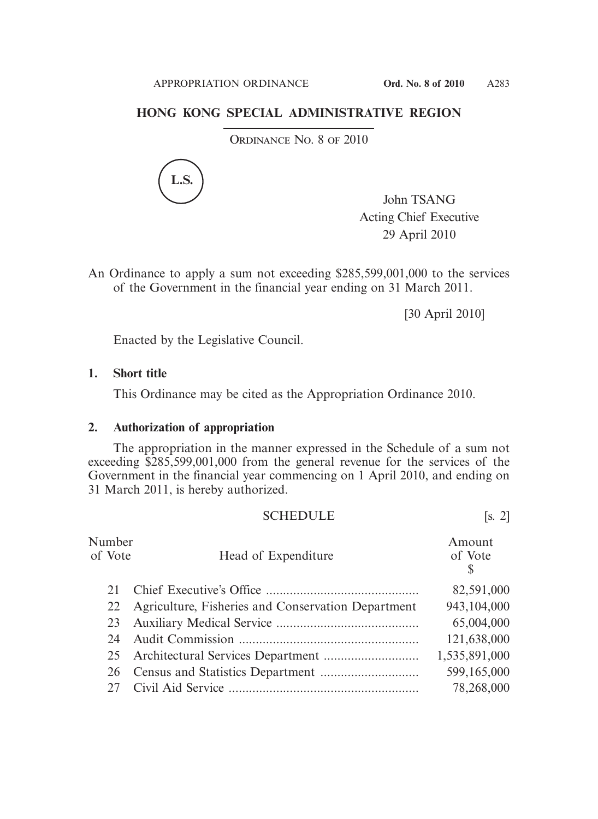## **HONG KONG SPECIAL ADMINISTRATIVE REGION**

ORDINANCE NO. 8 OF 2010



John TSANG Acting Chief Executive 29 April 2010

An Ordinance to apply a sum not exceeding \$285,599,001,000 to the services of the Government in the financial year ending on 31 March 2011.

[30 April 2010]

Enacted by the Legislative Council.

## **1. Short title**

This Ordinance may be cited as the Appropriation Ordinance 2010.

## **2. Authorization of appropriation**

 The appropriation in the manner expressed in the Schedule of a sum not exceeding \$285,599,001,000 from the general revenue for the services of the Government in the financial year commencing on 1 April 2010, and ending on 31 March 2011, is hereby authorized.

| <b>SCHEDULE</b> | . ت |
|-----------------|-----|
|-----------------|-----|

| Number<br>of Vote | Head of Expenditure                                | Amount<br>of Vote<br>S |
|-------------------|----------------------------------------------------|------------------------|
| 21                |                                                    | 82,591,000             |
| 22                | Agriculture, Fisheries and Conservation Department | 943,104,000            |
| 23                |                                                    | 65,004,000             |
| 24                |                                                    | 121,638,000            |
|                   |                                                    | 1,535,891,000          |
| 26                |                                                    | 599,165,000            |
|                   |                                                    | 78,268,000             |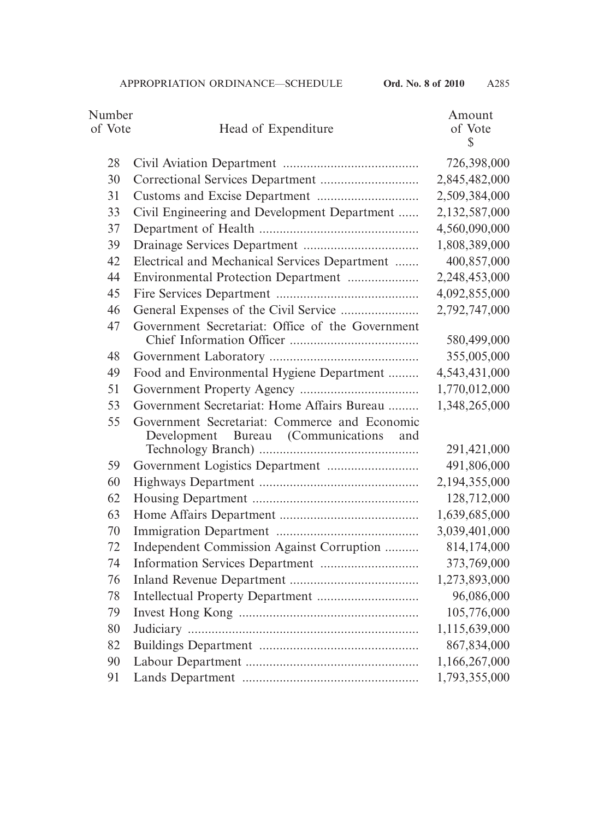| of Vote<br>of Vote<br>Head of Expenditure<br>$\mathbb{S}$<br>726,398,000<br>28<br>2,845,482,000<br>30<br>2,509,384,000<br>31<br>2,132,587,000<br>Civil Engineering and Development Department<br>33<br>4,560,090,000<br>37<br>1,808,389,000<br>39<br>Electrical and Mechanical Services Department<br>400,857,000<br>42<br>2,248,453,000<br>44<br>4,092,855,000<br>45<br>46<br>2,792,747,000<br>47<br>Government Secretariat: Office of the Government<br>580,499,000<br>355,005,000<br>48<br>4,543,431,000<br>Food and Environmental Hygiene Department<br>49<br>1,770,012,000<br>51<br>Government Secretariat: Home Affairs Bureau<br>1,348,265,000<br>53<br>Government Secretariat: Commerce and Economic<br>55<br>Bureau (Communications)<br>Development<br>and<br>291,421,000<br>491,806,000<br>59<br>2,194,355,000<br>60<br>128,712,000<br>62<br>63<br>1,639,685,000 |
|----------------------------------------------------------------------------------------------------------------------------------------------------------------------------------------------------------------------------------------------------------------------------------------------------------------------------------------------------------------------------------------------------------------------------------------------------------------------------------------------------------------------------------------------------------------------------------------------------------------------------------------------------------------------------------------------------------------------------------------------------------------------------------------------------------------------------------------------------------------------------|
|                                                                                                                                                                                                                                                                                                                                                                                                                                                                                                                                                                                                                                                                                                                                                                                                                                                                            |
|                                                                                                                                                                                                                                                                                                                                                                                                                                                                                                                                                                                                                                                                                                                                                                                                                                                                            |
|                                                                                                                                                                                                                                                                                                                                                                                                                                                                                                                                                                                                                                                                                                                                                                                                                                                                            |
|                                                                                                                                                                                                                                                                                                                                                                                                                                                                                                                                                                                                                                                                                                                                                                                                                                                                            |
|                                                                                                                                                                                                                                                                                                                                                                                                                                                                                                                                                                                                                                                                                                                                                                                                                                                                            |
|                                                                                                                                                                                                                                                                                                                                                                                                                                                                                                                                                                                                                                                                                                                                                                                                                                                                            |
|                                                                                                                                                                                                                                                                                                                                                                                                                                                                                                                                                                                                                                                                                                                                                                                                                                                                            |
|                                                                                                                                                                                                                                                                                                                                                                                                                                                                                                                                                                                                                                                                                                                                                                                                                                                                            |
|                                                                                                                                                                                                                                                                                                                                                                                                                                                                                                                                                                                                                                                                                                                                                                                                                                                                            |
|                                                                                                                                                                                                                                                                                                                                                                                                                                                                                                                                                                                                                                                                                                                                                                                                                                                                            |
|                                                                                                                                                                                                                                                                                                                                                                                                                                                                                                                                                                                                                                                                                                                                                                                                                                                                            |
|                                                                                                                                                                                                                                                                                                                                                                                                                                                                                                                                                                                                                                                                                                                                                                                                                                                                            |
|                                                                                                                                                                                                                                                                                                                                                                                                                                                                                                                                                                                                                                                                                                                                                                                                                                                                            |
|                                                                                                                                                                                                                                                                                                                                                                                                                                                                                                                                                                                                                                                                                                                                                                                                                                                                            |
|                                                                                                                                                                                                                                                                                                                                                                                                                                                                                                                                                                                                                                                                                                                                                                                                                                                                            |
|                                                                                                                                                                                                                                                                                                                                                                                                                                                                                                                                                                                                                                                                                                                                                                                                                                                                            |
|                                                                                                                                                                                                                                                                                                                                                                                                                                                                                                                                                                                                                                                                                                                                                                                                                                                                            |
|                                                                                                                                                                                                                                                                                                                                                                                                                                                                                                                                                                                                                                                                                                                                                                                                                                                                            |
|                                                                                                                                                                                                                                                                                                                                                                                                                                                                                                                                                                                                                                                                                                                                                                                                                                                                            |
|                                                                                                                                                                                                                                                                                                                                                                                                                                                                                                                                                                                                                                                                                                                                                                                                                                                                            |
|                                                                                                                                                                                                                                                                                                                                                                                                                                                                                                                                                                                                                                                                                                                                                                                                                                                                            |
|                                                                                                                                                                                                                                                                                                                                                                                                                                                                                                                                                                                                                                                                                                                                                                                                                                                                            |
|                                                                                                                                                                                                                                                                                                                                                                                                                                                                                                                                                                                                                                                                                                                                                                                                                                                                            |
| 3,039,401,000<br>70                                                                                                                                                                                                                                                                                                                                                                                                                                                                                                                                                                                                                                                                                                                                                                                                                                                        |
| 814,174,000<br>72<br>Independent Commission Against Corruption                                                                                                                                                                                                                                                                                                                                                                                                                                                                                                                                                                                                                                                                                                                                                                                                             |
| 373,769,000<br>74                                                                                                                                                                                                                                                                                                                                                                                                                                                                                                                                                                                                                                                                                                                                                                                                                                                          |
| 1,273,893,000<br>76                                                                                                                                                                                                                                                                                                                                                                                                                                                                                                                                                                                                                                                                                                                                                                                                                                                        |
| 96,086,000<br>78                                                                                                                                                                                                                                                                                                                                                                                                                                                                                                                                                                                                                                                                                                                                                                                                                                                           |
| 105,776,000<br>79                                                                                                                                                                                                                                                                                                                                                                                                                                                                                                                                                                                                                                                                                                                                                                                                                                                          |
| 1,115,639,000<br>80                                                                                                                                                                                                                                                                                                                                                                                                                                                                                                                                                                                                                                                                                                                                                                                                                                                        |
| 867,834,000<br>82                                                                                                                                                                                                                                                                                                                                                                                                                                                                                                                                                                                                                                                                                                                                                                                                                                                          |
| 1,166,267,000<br>90                                                                                                                                                                                                                                                                                                                                                                                                                                                                                                                                                                                                                                                                                                                                                                                                                                                        |
| 1,793,355,000<br>91                                                                                                                                                                                                                                                                                                                                                                                                                                                                                                                                                                                                                                                                                                                                                                                                                                                        |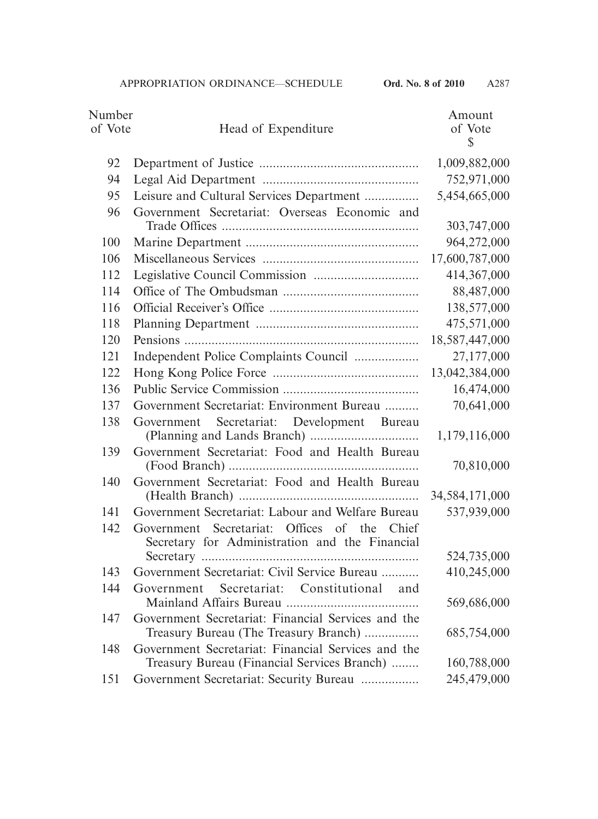| Number  |                                                                                                   | Amount            |
|---------|---------------------------------------------------------------------------------------------------|-------------------|
| of Vote | Head of Expenditure                                                                               | of Vote           |
|         |                                                                                                   | $\mathbb{S}$      |
| 92      |                                                                                                   | 1,009,882,000     |
| 94      |                                                                                                   | 752,971,000       |
| 95      | Leisure and Cultural Services Department                                                          | 5,454,665,000     |
| 96      | Government Secretariat: Overseas Economic and                                                     | 303,747,000       |
| 100     |                                                                                                   | 964,272,000       |
| 106     |                                                                                                   | 17,600,787,000    |
| 112     |                                                                                                   | 414,367,000       |
| 114     |                                                                                                   | 88,487,000        |
| 116     |                                                                                                   | 138,577,000       |
| 118     |                                                                                                   | 475,571,000       |
| 120     |                                                                                                   | 18,587,447,000    |
| 121     | Independent Police Complaints Council                                                             | 27,177,000        |
| 122     |                                                                                                   | 13,042,384,000    |
| 136     |                                                                                                   | 16,474,000        |
| 137     | Government Secretariat: Environment Bureau                                                        | 70,641,000        |
| 138     | Secretariat: Development Bureau<br>Government                                                     | 1,179,116,000     |
| 139     | Government Secretariat: Food and Health Bureau                                                    | 70,810,000        |
| 140     | Government Secretariat: Food and Health Bureau                                                    | 34, 584, 171, 000 |
| 141     | Government Secretariat: Labour and Welfare Bureau                                                 | 537,939,000       |
| 142     | Government Secretariat: Offices of the Chief<br>Secretary for Administration and the Financial    |                   |
|         |                                                                                                   | 524,735,000       |
| 143     | Government Secretariat: Civil Service Bureau                                                      | 410,245,000       |
| 144     | Secretariat: Constitutional<br>and<br>Government                                                  | 569,686,000       |
| 147     | Government Secretariat: Financial Services and the<br>Treasury Bureau (The Treasury Branch)       | 685,754,000       |
| 148     | Government Secretariat: Financial Services and the<br>Treasury Bureau (Financial Services Branch) | 160,788,000       |
| 151     | Government Secretariat: Security Bureau                                                           | 245,479,000       |